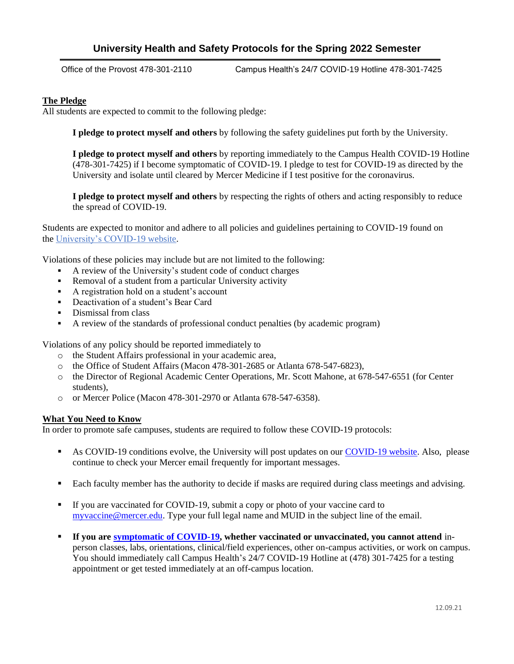## **University Health and Safety Protocols for the Spring 2022 Semester**

Office of the Provost 478-301-2110 Campus Health's 24/7 COVID-19 Hotline 478-301-7425

## **The Pledge**

All students are expected to commit to the following pledge:

**I pledge to protect myself and others** by following the safety guidelines put forth by the University.

**I pledge to protect myself and others** by reporting immediately to the Campus Health COVID-19 Hotline (478-301-7425) if I become symptomatic of COVID-19. I pledge to test for COVID-19 as directed by the University and isolate until cleared by Mercer Medicine if I test positive for the coronavirus.

**I pledge to protect myself and others** by respecting the rights of others and acting responsibly to reduce the spread of COVID-19.

Students are expected to monitor and adhere to all policies and guidelines pertaining to COVID-19 found on the [University's COVID-19 website.](https://www.mercer.edu/coronavirus/)

Violations of these policies may include but are not limited to the following:

- A review of the University's student code of conduct charges
- Removal of a student from a particular University activity
- A registration hold on a student's account
- **•** Deactivation of a student's Bear Card
- Dismissal from class
- A review of the standards of professional conduct penalties (by academic program)

Violations of any policy should be reported immediately to

- o the Student Affairs professional in your academic area,
- o the Office of Student Affairs (Macon 478-301-2685 or Atlanta 678-547-6823),
- o the Director of Regional Academic Center Operations, Mr. Scott Mahone, at 678-547-6551 (for Center students),
- o or Mercer Police (Macon 478-301-2970 or Atlanta 678-547-6358).

## **What You Need to Know**

In order to promote safe campuses, students are required to follow these COVID-19 protocols:

- As COVID-19 conditions evolve, the University will post updates on our [COVID-19 website.](https://www.mercer.edu/coronavirus/) Also, please continue to check your Mercer email frequently for important messages.
- Each faculty member has the authority to decide if masks are required during class meetings and advising.
- If you are vaccinated for COVID-19, submit a copy or photo of your vaccine card to [myvaccine@mercer.edu.](mailto:myvaccine@mercer.edu) Type your full legal name and MUID in the subject line of the email.
- **If you are [symptomatic of COVID-19,](https://www.cdc.gov/coronavirus/2019-ncov/symptoms-testing/symptoms.html) whether vaccinated or unvaccinated, you cannot attend** inperson classes, labs, orientations, clinical/field experiences, other on-campus activities, or work on campus. You should immediately call Campus Health's 24/7 COVID-19 Hotline at (478) 301-7425 for a testing appointment or get tested immediately at an off-campus location.